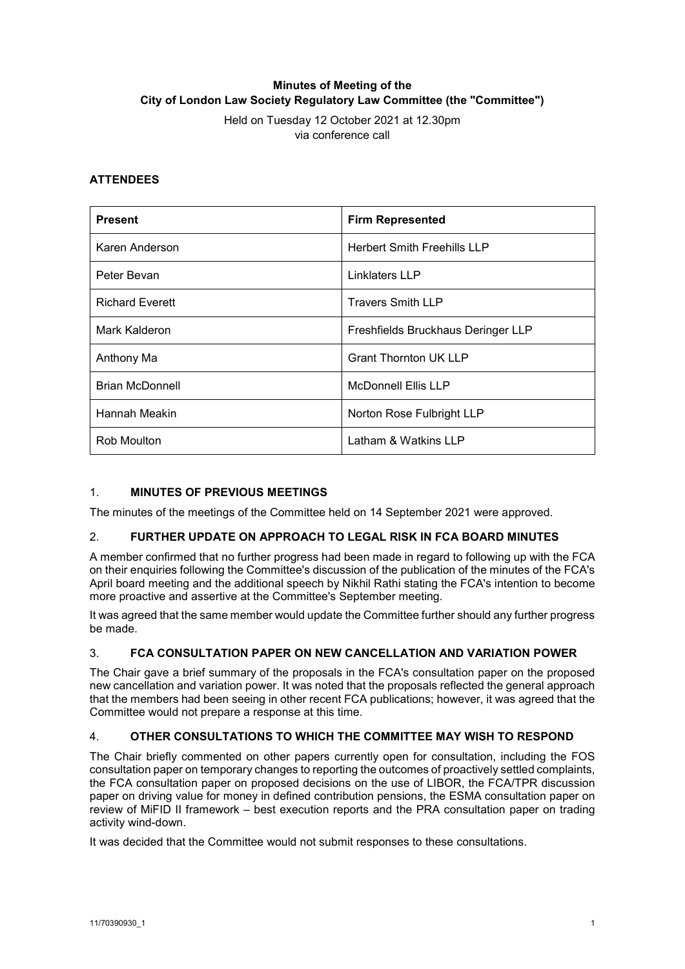# **Minutes of Meeting of the City of London Law Society Regulatory Law Committee (the "Committee")**

Held on Tuesday 12 October 2021 at 12.30pm via conference call

## **ATTENDEES**

| <b>Present</b>         | <b>Firm Represented</b>            |
|------------------------|------------------------------------|
| Karen Anderson         | <b>Herbert Smith Freehills LLP</b> |
| Peter Bevan            | Linklaters LLP                     |
| <b>Richard Everett</b> | <b>Travers Smith LLP</b>           |
| Mark Kalderon          | Freshfields Bruckhaus Deringer LLP |
| Anthony Ma             | <b>Grant Thornton UK LLP</b>       |
| <b>Brian McDonnell</b> | <b>McDonnell Ellis LLP</b>         |
| Hannah Meakin          | Norton Rose Fulbright LLP          |
| Rob Moulton            | Latham & Watkins LLP               |

## 1. **MINUTES OF PREVIOUS MEETINGS**

The minutes of the meetings of the Committee held on 14 September 2021 were approved.

### 2. **FURTHER UPDATE ON APPROACH TO LEGAL RISK IN FCA BOARD MINUTES**

A member confirmed that no further progress had been made in regard to following up with the FCA on their enquiries following the Committee's discussion of the publication of the minutes of the FCA's April board meeting and the additional speech by Nikhil Rathi stating the FCA's intention to become more proactive and assertive at the Committee's September meeting.

It was agreed that the same member would update the Committee further should any further progress be made.

### 3. **FCA CONSULTATION PAPER ON NEW CANCELLATION AND VARIATION POWER**

The Chair gave a brief summary of the proposals in the FCA's consultation paper on the proposed new cancellation and variation power. It was noted that the proposals reflected the general approach that the members had been seeing in other recent FCA publications; however, it was agreed that the Committee would not prepare a response at this time.

### 4. **OTHER CONSULTATIONS TO WHICH THE COMMITTEE MAY WISH TO RESPOND**

The Chair briefly commented on other papers currently open for consultation, including the FOS consultation paper on temporary changes to reporting the outcomes of proactively settled complaints, the FCA consultation paper on proposed decisions on the use of LIBOR, the FCA/TPR discussion paper on driving value for money in defined contribution pensions, the ESMA consultation paper on review of MiFID II framework – best execution reports and the PRA consultation paper on trading activity wind-down.

It was decided that the Committee would not submit responses to these consultations.